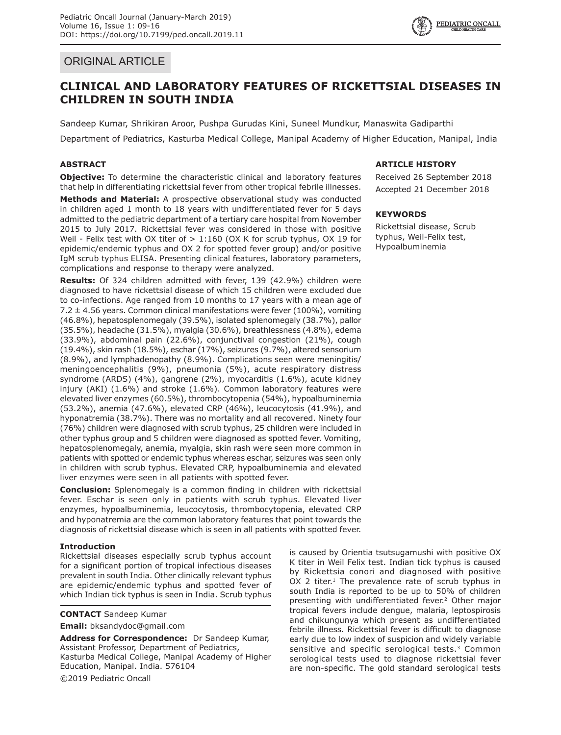## ORIGINAL ARTICLE

# **CLINICAL AND LABORATORY FEATURES OF RICKETTSIAL DISEASES IN CHILDREN IN SOUTH INDIA**

Sandeep Kumar, Shrikiran Aroor, Pushpa Gurudas Kini, Suneel Mundkur, Manaswita Gadiparthi Department of Pediatrics, Kasturba Medical College, Manipal Academy of Higher Education, Manipal, India

## **ABSTRACT**

**Objective:** To determine the characteristic clinical and laboratory features that help in differentiating rickettsial fever from other tropical febrile illnesses.

**Methods and Material:** A prospective observational study was conducted in children aged 1 month to 18 years with undifferentiated fever for 5 days admitted to the pediatric department of a tertiary care hospital from November 2015 to July 2017. Rickettsial fever was considered in those with positive Weil - Felix test with OX titer of  $> 1:160$  (OX K for scrub typhus, OX 19 for epidemic/endemic typhus and OX 2 for spotted fever group) and/or positive IgM scrub typhus ELISA. Presenting clinical features, laboratory parameters, complications and response to therapy were analyzed.

**Results:** Of 324 children admitted with fever, 139 (42.9%) children were diagnosed to have rickettsial disease of which 15 children were excluded due to co-infections. Age ranged from 10 months to 17 years with a mean age of 7.2 ± 4.56 years. Common clinical manifestations were fever (100%), vomiting (46.8%), hepatosplenomegaly (39.5%), isolated splenomegaly (38.7%), pallor (35.5%), headache (31.5%), myalgia (30.6%), breathlessness (4.8%), edema (33.9%), abdominal pain (22.6%), conjunctival congestion (21%), cough (19.4%), skin rash (18.5%), eschar (17%), seizures (9.7%), altered sensorium (8.9%), and lymphadenopathy (8.9%). Complications seen were meningitis/ meningoencephalitis (9%), pneumonia (5%), acute respiratory distress syndrome (ARDS) (4%), gangrene (2%), myocarditis (1.6%), acute kidney injury (AKI) (1.6%) and stroke (1.6%). Common laboratory features were elevated liver enzymes (60.5%), thrombocytopenia (54%), hypoalbuminemia (53.2%), anemia (47.6%), elevated CRP (46%), leucocytosis (41.9%), and hyponatremia (38.7%). There was no mortality and all recovered. Ninety four (76%) children were diagnosed with scrub typhus, 25 children were included in other typhus group and 5 children were diagnosed as spotted fever. Vomiting, hepatosplenomegaly, anemia, myalgia, skin rash were seen more common in patients with spotted or endemic typhus whereas eschar, seizures was seen only in children with scrub typhus. Elevated CRP, hypoalbuminemia and elevated liver enzymes were seen in all patients with spotted fever.

**Conclusion:** Splenomegaly is a common finding in children with rickettsial fever. Eschar is seen only in patients with scrub typhus. Elevated liver enzymes, hypoalbuminemia, leucocytosis, thrombocytopenia, elevated CRP and hyponatremia are the common laboratory features that point towards the diagnosis of rickettsial disease which is seen in all patients with spotted fever.

## **Introduction**

Rickettsial diseases especially scrub typhus account for a significant portion of tropical infectious diseases prevalent in south India. Other clinically relevant typhus are epidemic/endemic typhus and spotted fever of which Indian tick typhus is seen in India. Scrub typhus

**CONTACT** Sandeep Kumar

**Email:** bksandydoc@gmail.com

**Address for Correspondence:** Dr Sandeep Kumar, Assistant Professor, Department of Pediatrics, Kasturba Medical College, Manipal Academy of Higher Education, Manipal. India. 576104 ©2019 Pediatric Oncall

## **ARTICLE HISTORY**

Received 26 September 2018 Accepted 21 December 2018

## **KEYWORDS**

Rickettsial disease, Scrub typhus, Weil-Felix test, Hypoalbuminemia

is caused by Orientia tsutsugamushi with positive OX K titer in Weil Felix test. Indian tick typhus is caused by Rickettsia conori and diagnosed with positive  $OX$  2 titer.<sup>1</sup> The prevalence rate of scrub typhus in south India is reported to be up to 50% of children presenting with undifferentiated fever.<sup>2</sup> Other major tropical fevers include dengue, malaria, leptospirosis and chikungunya which present as undifferentiated febrile illness. Rickettsial fever is difficult to diagnose early due to low index of suspicion and widely variable sensitive and specific serological tests.<sup>3</sup> Common serological tests used to diagnose rickettsial fever are non-specific. The gold standard serological tests

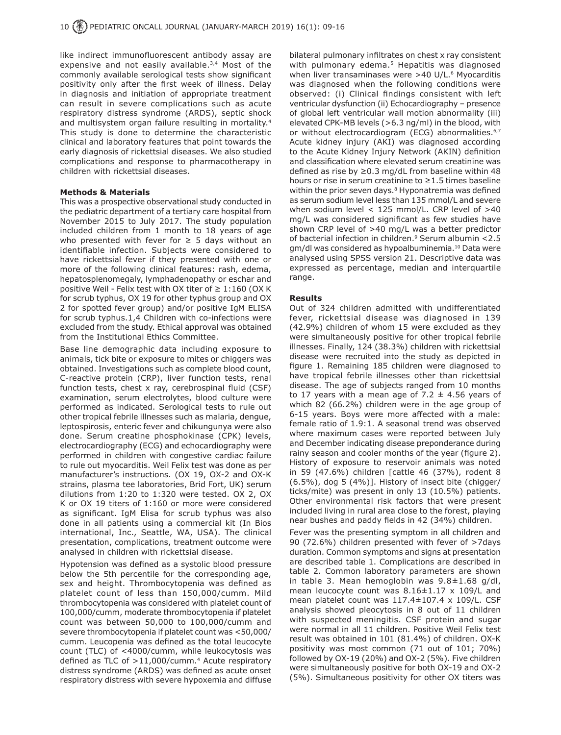like indirect immunofluorescent antibody assay are expensive and not easily available.<sup>3,4</sup> Most of the commonly available serological tests show significant positivity only after the first week of illness. Delay in diagnosis and initiation of appropriate treatment can result in severe complications such as acute respiratory distress syndrome (ARDS), septic shock and multisystem organ failure resulting in mortality.<sup>4</sup> This study is done to determine the characteristic clinical and laboratory features that point towards the early diagnosis of rickettsial diseases. We also studied complications and response to pharmacotherapy in children with rickettsial diseases.

#### **Methods & Materials**

This was a prospective observational study conducted in the pediatric department of a tertiary care hospital from November 2015 to July 2017. The study population included children from 1 month to 18 years of age who presented with fever for  $\geq$  5 days without an identifiable infection. Subjects were considered to have rickettsial fever if they presented with one or more of the following clinical features: rash, edema, hepatosplenomegaly, lymphadenopathy or eschar and positive Weil - Felix test with OX titer of  $\geq 1:160$  (OX K for scrub typhus, OX 19 for other typhus group and OX 2 for spotted fever group) and/or positive IgM ELISA for scrub typhus.1,4 Children with co-infections were excluded from the study. Ethical approval was obtained from the Institutional Ethics Committee.

Base line demographic data including exposure to animals, tick bite or exposure to mites or chiggers was obtained. Investigations such as complete blood count, C-reactive protein (CRP), liver function tests, renal function tests, chest x ray, cerebrospinal fluid (CSF) examination, serum electrolytes, blood culture were performed as indicated. Serological tests to rule out other tropical febrile illnesses such as malaria, dengue, leptospirosis, enteric fever and chikungunya were also done. Serum creatine phosphokinase (CPK) levels, electrocardiography (ECG) and echocardiography were performed in children with congestive cardiac failure to rule out myocarditis. Weil Felix test was done as per manufacturer's instructions. (OX 19, OX-2 and OX-K strains, plasma tee laboratories, Brid Fort, UK) serum dilutions from 1:20 to 1:320 were tested. OX 2, OX K or OX 19 titers of 1:160 or more were considered as significant. IgM Elisa for scrub typhus was also done in all patients using a commercial kit (In Bios international, Inc., Seattle, WA, USA). The clinical presentation, complications, treatment outcome were analysed in children with rickettsial disease.

Hypotension was defined as a systolic blood pressure below the 5th percentile for the corresponding age, sex and height. Thrombocytopenia was defined as platelet count of less than 150,000/cumm. Mild thrombocytopenia was considered with platelet count of 100,000/cumm, moderate thrombocytopenia if platelet count was between 50,000 to 100,000/cumm and severe thrombocytopenia if platelet count was <50,000/ cumm. Leucopenia was defined as the total leucocyte count (TLC) of <4000/cumm, while leukocytosis was defined as TLC of  $>11,000/c$ umm.<sup>4</sup> Acute respiratory distress syndrome (ARDS) was defined as acute onset respiratory distress with severe hypoxemia and diffuse

bilateral pulmonary infiltrates on chest x ray consistent with pulmonary edema.<sup>5</sup> Hepatitis was diagnosed when liver transaminases were >40 U/L.<sup>6</sup> Myocarditis was diagnosed when the following conditions were observed: (i) Clinical findings consistent with left ventricular dysfunction (ii) Echocardiography – presence of global left ventricular wall motion abnormality (iii) elevated CPK-MB levels (>6.3 ng/ml) in the blood, with or without electrocardiogram (ECG) abnormalities.<sup>6,7</sup> Acute kidney injury (AKI) was diagnosed according to the Acute Kidney Injury Network (AKIN) definition and classification where elevated serum creatinine was defined as rise by ≥0.3 mg/dL from baseline within 48 hours or rise in serum creatinine to ≥1.5 times baseline within the prior seven days.<sup>8</sup> Hyponatremia was defined as serum sodium level less than 135 mmol/L and severe when sodium level < 125 mmol/L. CRP level of >40 mg/L was considered significant as few studies have shown CRP level of >40 mg/L was a better predictor of bacterial infection in children.9 Serum albumin <2.5 gm/dl was considered as hypoalbuminemia.10 Data were analysed using SPSS version 21. Descriptive data was expressed as percentage, median and interquartile range

### **Results**

Out of 324 children admitted with undifferentiated fever, rickettsial disease was diagnosed in 139 (42.9%) children of whom 15 were excluded as they were simultaneously positive for other tropical febrile illnesses. Finally, 124 (38.3%) children with rickettsial disease were recruited into the study as depicted in figure 1. Remaining 185 children were diagnosed to have tropical febrile illnesses other than rickettsial disease. The age of subjects ranged from 10 months to 17 years with a mean age of 7.2  $\pm$  4.56 years of which 82 (66.2%) children were in the age group of 6-15 years. Boys were more affected with a male: female ratio of 1.9:1. A seasonal trend was observed where maximum cases were reported between July and December indicating disease preponderance during rainy season and cooler months of the year (figure 2). History of exposure to reservoir animals was noted in 59 (47.6%) children [cattle 46 (37%), rodent 8 (6.5%), dog 5 (4%)]. History of insect bite (chigger/ ticks/mite) was present in only 13 (10.5%) patients. Other environmental risk factors that were present included living in rural area close to the forest, playing near bushes and paddy fields in 42 (34%) children.

Fever was the presenting symptom in all children and 90 (72.6%) children presented with fever of >7days duration. Common symptoms and signs at presentation are described table 1. Complications are described in table 2. Common laboratory parameters are shown in table 3. Mean hemoglobin was 9.8±1.68 g/dl, mean leucocyte count was 8.16±1.17 x 109/L and mean platelet count was  $117.4 \pm 107.4 \times 109/L$ . CSF analysis showed pleocytosis in 8 out of 11 children with suspected meningitis. CSF protein and sugar were normal in all 11 children. Positive Weil Felix test result was obtained in 101 (81.4%) of children. OX-K positivity was most common (71 out of 101; 70%) followed by OX-19 (20%) and OX-2 (5%). Five children were simultaneously positive for both OX-19 and OX-2 (5%). Simultaneous positivity for other OX titers was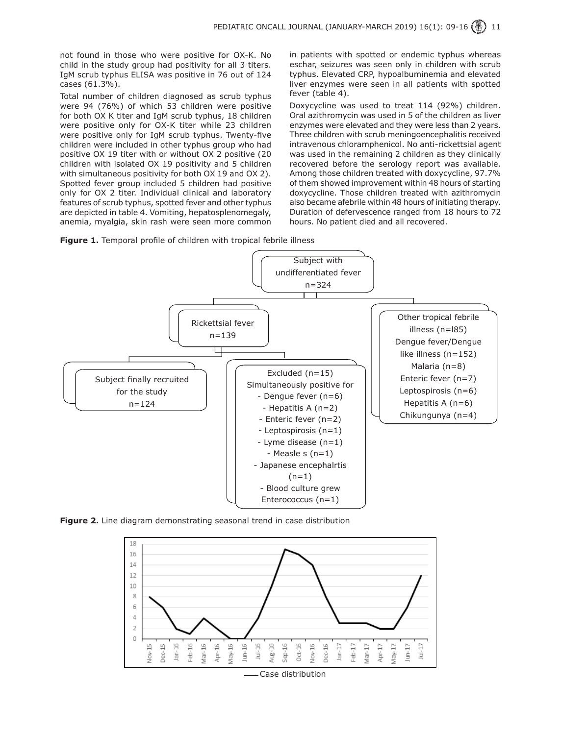not found in those who were positive for OX-K. No child in the study group had positivity for all 3 titers. IgM scrub typhus ELISA was positive in 76 out of 124 cases (61.3%).

Total number of children diagnosed as scrub typhus were 94 (76%) of which 53 children were positive for both OX K titer and IgM scrub typhus, 18 children were positive only for OX-K titer while 23 children were positive only for IgM scrub typhus. Twenty-five children were included in other typhus group who had positive OX 19 titer with or without OX 2 positive (20 children with isolated OX 19 positivity and 5 children with simultaneous positivity for both OX 19 and OX 2). Spotted fever group included 5 children had positive only for OX 2 titer. Individual clinical and laboratory features of scrub typhus, spotted fever and other typhus are depicted in table 4. Vomiting, hepatosplenomegaly, anemia, myalgia, skin rash were seen more common in patients with spotted or endemic typhus whereas eschar, seizures was seen only in children with scrub typhus. Elevated CRP, hypoalbuminemia and elevated liver enzymes were seen in all patients with spotted fever (table 4).

Doxycycline was used to treat 114 (92%) children. Oral azithromycin was used in 5 of the children as liver enzymes were elevated and they were less than 2 years. Three children with scrub meningoencephalitis received intravenous chloramphenicol. No anti-rickettsial agent was used in the remaining 2 children as they clinically recovered before the serology report was available. Among those children treated with doxycycline, 97.7% of them showed improvement within 48 hours of starting doxycycline. Those children treated with azithromycin also became afebrile within 48 hours of initiating therapy. Duration of defervescence ranged from 18 hours to 72 hours. No patient died and all recovered.





**Figure 2.** Line diagram demonstrating seasonal trend in case distribution

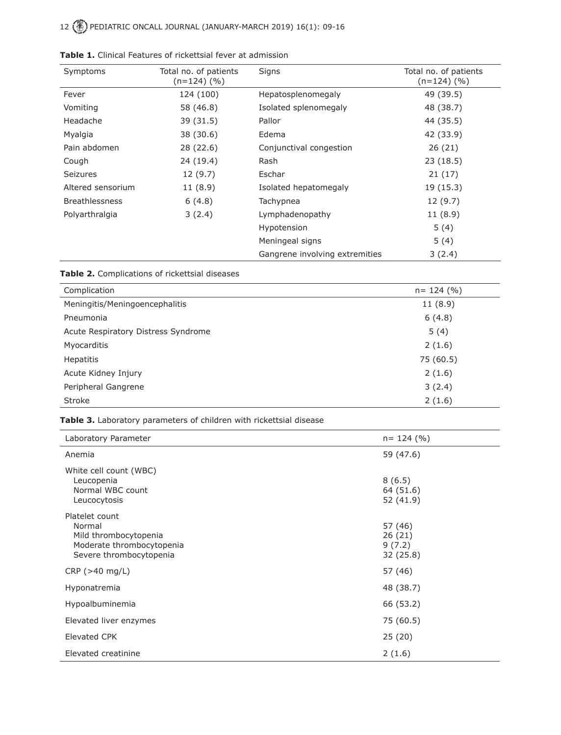# 12 PEDIATRIC ONCALL JOURNAL (JANUARY-MARCH 2019) 16(1): 09-16

| Symptoms              | Total no. of patients<br>$(n=124)$ (%) | Signs                          | Total no. of patients<br>$(n=124)$ (%) |
|-----------------------|----------------------------------------|--------------------------------|----------------------------------------|
| Fever                 | 124 (100)                              | Hepatosplenomegaly             | 49 (39.5)                              |
| Vomiting              | 58 (46.8)                              | Isolated splenomegaly          | 48 (38.7)                              |
| Headache              | 39 (31.5)                              | Pallor                         | 44 (35.5)                              |
| Myalgia               | 38 (30.6)                              | Edema                          | 42 (33.9)                              |
| Pain abdomen          | 28 (22.6)                              | Conjunctival congestion        | 26(21)                                 |
| Cough                 | 24 (19.4)                              | Rash                           | 23(18.5)                               |
| <b>Seizures</b>       | 12(9.7)                                | Eschar                         | 21(17)                                 |
| Altered sensorium     | 11(8.9)                                | Isolated hepatomegaly          | 19(15.3)                               |
| <b>Breathlessness</b> | 6(4.8)                                 | Tachypnea                      | 12(9.7)                                |
| Polyarthralgia        | 3(2.4)                                 | Lymphadenopathy                | 11(8.9)                                |
|                       |                                        | Hypotension                    | 5(4)                                   |
|                       |                                        | Meningeal signs                | 5(4)                                   |
|                       |                                        | Gangrene involving extremities | 3(2.4)                                 |

| <b>Table 1.</b> Clinical Features of rickettsial fever at admission |  |  |  |  |
|---------------------------------------------------------------------|--|--|--|--|
|---------------------------------------------------------------------|--|--|--|--|

**Table 2.** Complications of rickettsial diseases

| Complication                        | $n = 124$ (%) |
|-------------------------------------|---------------|
| Meningitis/Meningoencephalitis      | 11(8.9)       |
| Pneumonia                           | 6(4.8)        |
| Acute Respiratory Distress Syndrome | 5(4)          |
| Myocarditis                         | 2(1.6)        |
| Hepatitis                           | 75 (60.5)     |
| Acute Kidney Injury                 | 2(1.6)        |
| Peripheral Gangrene                 | 3(2.4)        |
| Stroke                              | 2(1.6)        |

### **Table 3.** Laboratory parameters of children with rickettsial disease

| Laboratory Parameter                                                                                      | $n = 124$ (%)                            |
|-----------------------------------------------------------------------------------------------------------|------------------------------------------|
| Anemia                                                                                                    | 59 (47.6)                                |
| White cell count (WBC)<br>Leucopenia<br>Normal WBC count<br>Leucocytosis                                  | 8(6.5)<br>64 (51.6)<br>52 (41.9)         |
| Platelet count<br>Normal<br>Mild thrombocytopenia<br>Moderate thrombocytopenia<br>Severe thrombocytopenia | 57 (46)<br>26(21)<br>9(7.2)<br>32 (25.8) |
| CRP(>40 mg/L)                                                                                             | 57 (46)                                  |
| Hyponatremia                                                                                              | 48 (38.7)                                |
| Hypoalbuminemia                                                                                           | 66 (53.2)                                |
| Elevated liver enzymes                                                                                    | 75 (60.5)                                |
| <b>Elevated CPK</b>                                                                                       | 25(20)                                   |
| Elevated creatinine                                                                                       | 2(1.6)                                   |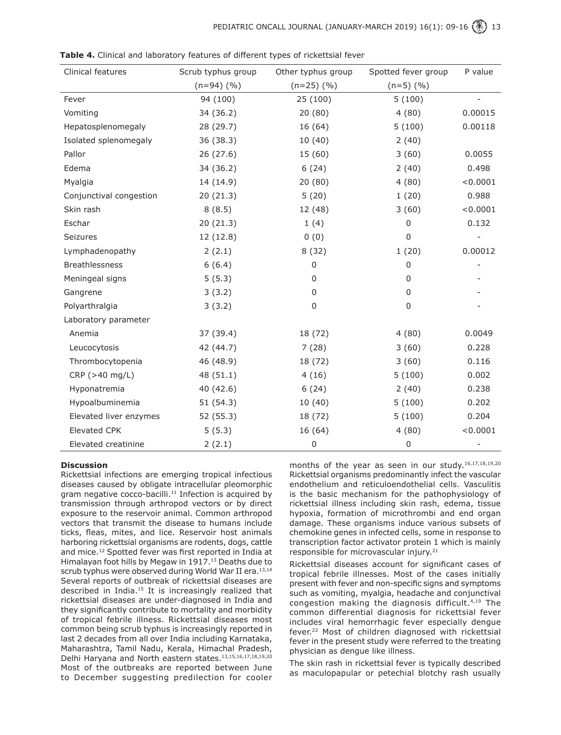| Clinical features       | Scrub typhus group | Other typhus group | Spotted fever group | P value        |
|-------------------------|--------------------|--------------------|---------------------|----------------|
|                         | $(n=94)$ $(\% )$   | $(n=25)$ $(%$ )    | $(n=5)$ $(\% )$     |                |
| Fever                   | 94 (100)           | 25 (100)           | 5(100)              | $\overline{a}$ |
| Vomiting                | 34 (36.2)          | 20(80)             | 4(80)               | 0.00015        |
| Hepatosplenomegaly      | 28 (29.7)          | 16 (64)            | 5(100)              | 0.00118        |
| Isolated splenomegaly   | 36 (38.3)          | 10(40)             | 2(40)               |                |
| Pallor                  | 26 (27.6)          | 15 (60)            | 3(60)               | 0.0055         |
| Edema                   | 34 (36.2)          | 6(24)              | 2(40)               | 0.498          |
| Myalgia                 | 14 (14.9)          | 20(80)             | 4(80)               | < 0.0001       |
| Conjunctival congestion | 20(21.3)           | 5(20)              | 1(20)               | 0.988          |
| Skin rash               | 8(8.5)             | 12 (48)            | 3(60)               | < 0.0001       |
| Eschar                  | 20(21.3)           | 1(4)               | 0                   | 0.132          |
| Seizures                | 12 (12.8)          | 0(0)               | $\Omega$            |                |
| Lymphadenopathy         | 2(2.1)             | 8(32)              | 1(20)               | 0.00012        |
| <b>Breathlessness</b>   | 6(6.4)             | 0                  | 0                   |                |
| Meningeal signs         | 5(5.3)             | 0                  | 0                   |                |
| Gangrene                | 3(3.2)             | 0                  | 0                   |                |
| Polyarthralgia          | 3(3.2)             | $\mathbf 0$        | $\mathbf 0$         |                |
| Laboratory parameter    |                    |                    |                     |                |
| Anemia                  | 37 (39.4)          | 18 (72)            | 4(80)               | 0.0049         |
| Leucocytosis            | 42 (44.7)          | 7(28)              | 3(60)               | 0.228          |
| Thrombocytopenia        | 46 (48.9)          | 18 (72)            | 3(60)               | 0.116          |
| CRP(>40 mg/L)           | 48 (51.1)          | 4(16)              | 5(100)              | 0.002          |
| Hyponatremia            | 40 (42.6)          | 6(24)              | 2(40)               | 0.238          |
| Hypoalbuminemia         | 51 (54.3)          | 10(40)             | 5(100)              | 0.202          |
| Elevated liver enzymes  | 52 (55.3)          | 18 (72)            | 5(100)              | 0.204          |
| <b>Elevated CPK</b>     | 5(5.3)             | 16 (64)            | 4(80)               | < 0.0001       |
| Elevated creatinine     | 2(2.1)             | 0                  | 0                   |                |

**Table 4.** Clinical and laboratory features of different types of rickettsial fever

### **Discussion**

Rickettsial infections are emerging tropical infectious diseases caused by obligate intracellular pleomorphic gram negative cocco-bacilli.<sup>11</sup> Infection is acquired by transmission through arthropod vectors or by direct exposure to the reservoir animal. Common arthropod vectors that transmit the disease to humans include ticks, fleas, mites, and lice. Reservoir host animals harboring rickettsial organisms are rodents, dogs, cattle and mice.12 Spotted fever was first reported in India at Himalayan foot hills by Megaw in 1917.<sup>13</sup> Deaths due to scrub typhus were observed during World War II era.<sup>13,14</sup> Several reports of outbreak of rickettsial diseases are described in India.15 It is increasingly realized that rickettsial diseases are under-diagnosed in India and they significantly contribute to mortality and morbidity of tropical febrile illness. Rickettsial diseases most common being scrub typhus is increasingly reported in last 2 decades from all over India including Karnataka, Maharashtra, Tamil Nadu, Kerala, Himachal Pradesh, Delhi Haryana and North eastern states.13,15,16,17,18,19,20 Most of the outbreaks are reported between June to December suggesting predilection for cooler

months of the year as seen in our study.<sup>16,17,18,19,20</sup> Rickettsial organisms predominantly infect the vascular endothelium and reticuloendothelial cells. Vasculitis is the basic mechanism for the pathophysiology of rickettsial illness including skin rash, edema, tissue hypoxia, formation of microthrombi and end organ damage. These organisms induce various subsets of chemokine genes in infected cells, some in response to transcription factor activator protein 1 which is mainly responsible for microvascular injury.21

Rickettsial diseases account for significant cases of tropical febrile illnesses. Most of the cases initially present with fever and non-specific signs and symptoms such as vomiting, myalgia, headache and conjunctival congestion making the diagnosis difficult.<sup>4,19</sup> The common differential diagnosis for rickettsial fever includes viral hemorrhagic fever especially dengue fever.<sup>22</sup> Most of children diagnosed with rickettsial fever in the present study were referred to the treating physician as dengue like illness.

The skin rash in rickettsial fever is typically described as maculopapular or petechial blotchy rash usually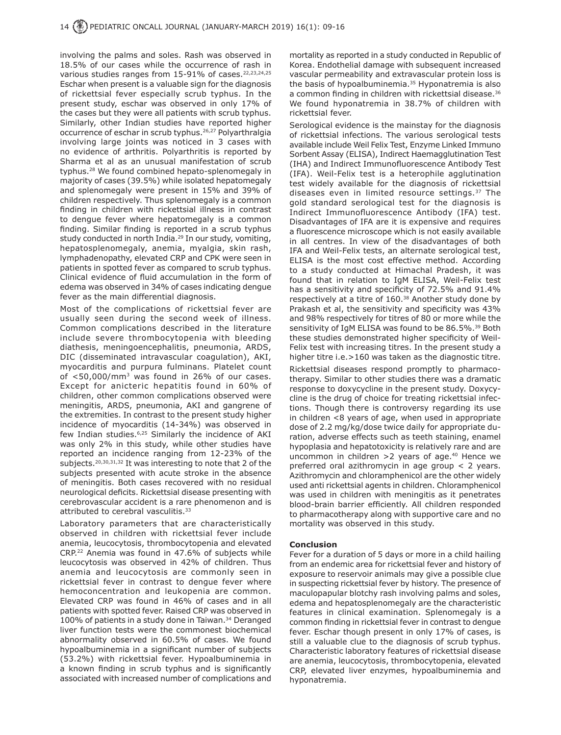involving the palms and soles. Rash was observed in 18.5% of our cases while the occurrence of rash in various studies ranges from 15-91% of cases.<sup>22,23,24,25</sup> Eschar when present is a valuable sign for the diagnosis of rickettsial fever especially scrub typhus. In the present study, eschar was observed in only 17% of the cases but they were all patients with scrub typhus. Similarly, other Indian studies have reported higher occurrence of eschar in scrub typhus.<sup>26,27</sup> Polyarthralgia involving large joints was noticed in 3 cases with no evidence of arthritis. Polyarthritis is reported by Sharma et al as an unusual manifestation of scrub typhus.<sup>28</sup> We found combined hepato-splenomegaly in majority of cases (39.5%) while isolated hepatomegaly and splenomegaly were present in 15% and 39% of children respectively. Thus splenomegaly is a common finding in children with rickettsial illness in contrast to dengue fever where hepatomegaly is a common finding. Similar finding is reported in a scrub typhus study conducted in north India.<sup>29</sup> In our study, vomiting, hepatosplenomegaly, anemia, myalgia, skin rash, lymphadenopathy, elevated CRP and CPK were seen in patients in spotted fever as compared to scrub typhus. Clinical evidence of fluid accumulation in the form of edema was observed in 34% of cases indicating dengue fever as the main differential diagnosis.

Most of the complications of rickettsial fever are usually seen during the second week of illness. Common complications described in the literature include severe thrombocytopenia with bleeding diathesis, meningoencephalitis, pneumonia, ARDS, DIC (disseminated intravascular coagulation), AKI, myocarditis and purpura fulminans. Platelet count of  $<$ 50,000/mm<sup>3</sup> was found in 26% of our cases. Except for anicteric hepatitis found in 60% of children, other common complications observed were meningitis, ARDS, pneumonia, AKI and gangrene of the extremities. In contrast to the present study higher incidence of myocarditis (14-34%) was observed in few Indian studies.<sup>6,25</sup> Similarly the incidence of AKI was only 2% in this study, while other studies have reported an incidence ranging from 12-23% of the subiects.<sup>20,30,31,32</sup> It was interesting to note that 2 of the subjects presented with acute stroke in the absence of meningitis. Both cases recovered with no residual neurological deficits. Rickettsial disease presenting with cerebrovascular accident is a rare phenomenon and is attributed to cerebral vasculitis.<sup>33</sup>

Laboratory parameters that are characteristically observed in children with rickettsial fever include anemia, leucocytosis, thrombocytopenia and elevated CRP.22 Anemia was found in 47.6% of subjects while leucocytosis was observed in 42% of children. Thus anemia and leucocytosis are commonly seen in rickettsial fever in contrast to dengue fever where hemoconcentration and leukopenia are common. Elevated CRP was found in 46% of cases and in all patients with spotted fever. Raised CRP was observed in 100% of patients in a study done in Taiwan.<sup>34</sup> Deranged liver function tests were the commonest biochemical abnormality observed in 60.5% of cases. We found hypoalbuminemia in a significant number of subjects (53.2%) with rickettsial fever. Hypoalbuminemia in a known finding in scrub typhus and is significantly associated with increased number of complications and mortality as reported in a study conducted in Republic of Korea. Endothelial damage with subsequent increased vascular permeability and extravascular protein loss is the basis of hypoalbuminemia. $35$  Hyponatremia is also a common finding in children with rickettsial disease.<sup>36</sup> We found hyponatremia in 38.7% of children with rickettsial fever.

Serological evidence is the mainstay for the diagnosis of rickettsial infections. The various serological tests available include Weil Felix Test, Enzyme Linked Immuno Sorbent Assay (ELISA), Indirect Haemagglutination Test (IHA) and Indirect Immunofluorescence Antibody Test (IFA). Weil-Felix test is a heterophile agglutination test widely available for the diagnosis of rickettsial diseases even in limited resource settings.<sup>37</sup> The gold standard serological test for the diagnosis is Indirect Immunofluorescence Antibody (IFA) test. Disadvantages of IFA are it is expensive and requires a fluorescence microscope which is not easily available in all centres. In view of the disadvantages of both IFA and Weil-Felix tests, an alternate serological test, ELISA is the most cost effective method. According to a study conducted at Himachal Pradesh, it was found that in relation to IgM ELISA, Weil-Felix test has a sensitivity and specificity of 72.5% and 91.4% respectively at a titre of 160.38 Another study done by Prakash et al, the sensitivity and specificity was 43% and 98% respectively for titres of 80 or more while the sensitivity of IgM ELISA was found to be 86.5%.<sup>39</sup> Both these studies demonstrated higher specificity of Weil-Felix test with increasing titres. In the present study a higher titre i.e. > 160 was taken as the diagnostic titre.

Rickettsial diseases respond promptly to pharmacotherapy. Similar to other studies there was a dramatic response to doxycycline in the present study. Doxycycline is the drug of choice for treating rickettsial infections. Though there is controversy regarding its use in children <8 years of age, when used in appropriate dose of 2.2 mg/kg/dose twice daily for appropriate duration, adverse effects such as teeth staining, enamel hypoplasia and hepatotoxicity is relatively rare and are uncommon in children  $>2$  years of age.<sup>40</sup> Hence we preferred oral azithromycin in age group < 2 years. Azithromycin and chloramphenicol are the other widely used anti rickettsial agents in children. Chloramphenicol was used in children with meningitis as it penetrates blood-brain barrier efficiently. All children responded to pharmacotherapy along with supportive care and no mortality was observed in this study.

### **Conclusion**

Fever for a duration of 5 days or more in a child hailing from an endemic area for rickettsial fever and history of exposure to reservoir animals may give a possible clue in suspecting rickettsial fever by history. The presence of maculopapular blotchy rash involving palms and soles, edema and hepatosplenomegaly are the characteristic features in clinical examination. Splenomegaly is a common finding in rickettsial fever in contrast to dengue fever. Eschar though present in only 17% of cases, is still a valuable clue to the diagnosis of scrub typhus. Characteristic laboratory features of rickettsial disease are anemia, leucocytosis, thrombocytopenia, elevated CRP, elevated liver enzymes, hypoalbuminemia and hyponatremia.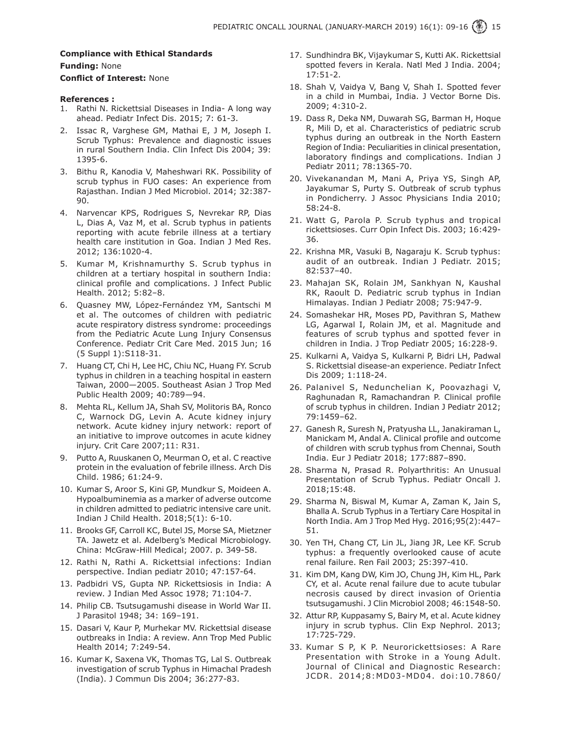## **Compliance with Ethical Standards**

**Funding:** None

### **Conflict of Interest:** None

### **References :**

- 1. Rathi N. Rickettsial Diseases in India- A long way ahead. Pediatr Infect Dis. 2015; 7: 61-3.
- 2. Issac R, Varghese GM, Mathai E, J M, Joseph I. Scrub Typhus: Prevalence and diagnostic issues in rural Southern India. Clin Infect Dis 2004; 39: 1395-6.
- 3. Bithu R, Kanodia V, Maheshwari RK. Possibility of scrub typhus in FUO cases: An experience from Rajasthan. Indian J Med Microbiol. 2014; 32:387- 90.
- 4. Narvencar KPS, Rodrigues S, Nevrekar RP, Dias L, Dias A, Vaz M, et al. Scrub typhus in patients reporting with acute febrile illness at a tertiary health care institution in Goa. Indian J Med Res. 2012; 136:1020-4.
- 5. Kumar M, Krishnamurthy S. Scrub typhus in children at a tertiary hospital in southern India: clinical profile and complications. J Infect Public Health. 2012; 5:82–8.
- 6. Quasney MW, López-Fernández YM, Santschi M et al. The outcomes of children with pediatric acute respiratory distress syndrome: proceedings from the Pediatric Acute Lung Injury Consensus Conference. Pediatr Crit Care Med. 2015 Jun; 16 (5 Suppl 1):S118-31.
- 7. Huang CT, Chi H, Lee HC, Chiu NC, Huang FY. Scrub typhus in children in a teaching hospital in eastern Taiwan, 2000—2005. Southeast Asian J Trop Med Public Health 2009; 40:789—94.
- 8. Mehta RL, Kellum JA, Shah SV, Molitoris BA, Ronco C, Warnock DG, Levin A. Acute kidney injury network. Acute kidney injury network: report of an initiative to improve outcomes in acute kidney injury. Crit Care 2007;11: R31.
- 9. Putto A, Ruuskanen O, Meurman O, et al. C reactive protein in the evaluation of febrile illness. Arch Dis Child. 1986; 61:24-9.
- 10. Kumar S, Aroor S, Kini GP, Mundkur S, Moideen A. Hypoalbuminemia as a marker of adverse outcome in children admitted to pediatric intensive care unit. Indian J Child Health. 2018;5(1): 6-10.
- 11. Brooks GF, Carroll KC, Butel JS, Morse SA, Mietzner TA. Jawetz et al. Adelberg's Medical Microbiology. China: McGraw-Hill Medical; 2007. p. 349-58.
- 12. Rathi N, Rathi A. Rickettsial infections: Indian perspective. Indian pediatr 2010; 47:157-64.
- 13. Padbidri VS, Gupta NP. Rickettsiosis in India: A review. J Indian Med Assoc 1978; 71:104-7.
- 14. Philip CB. Tsutsugamushi disease in World War II. J Parasitol 1948; 34: 169–191.
- 15. Dasari V, Kaur P, Murhekar MV. Rickettsial disease outbreaks in India: A review. Ann Trop Med Public Health 2014; 7:249-54.
- 16. Kumar K, Saxena VK, Thomas TG, Lal S. Outbreak investigation of scrub Typhus in Himachal Pradesh (India). J Commun Dis 2004; 36:277-83.
- 17. Sundhindra BK, Vijaykumar S, Kutti AK. Rickettsial spotted fevers in Kerala. Natl Med J India. 2004; 17:51-2.
- 18. Shah V, Vaidya V, Bang V, Shah I. Spotted fever in a child in Mumbai, India. J Vector Borne Dis. 2009; 4:310-2.
- 19. Dass R, Deka NM, Duwarah SG, Barman H, Hoque R, Mili D, et al. Characteristics of pediatric scrub typhus during an outbreak in the North Eastern Region of India: Peculiarities in clinical presentation, laboratory findings and complications. Indian J Pediatr 2011; 78:1365-70.
- 20. Vivekanandan M, Mani A, Priya YS, Singh AP, Jayakumar S, Purty S. Outbreak of scrub typhus in Pondicherry. J Assoc Physicians India 2010; 58:24-8.
- 21. Watt G, Parola P. Scrub typhus and tropical rickettsioses. Curr Opin Infect Dis. 2003; 16:429- 36.
- 22. Krishna MR, Vasuki B, Nagaraju K. Scrub typhus: audit of an outbreak. Indian J Pediatr. 2015; 82:537–40.
- 23. Mahajan SK, Rolain JM, Sankhyan N, Kaushal RK, Raoult D. Pediatric scrub typhus in Indian Himalayas. Indian J Pediatr 2008; 75:947-9.
- 24. Somashekar HR, Moses PD, Pavithran S, Mathew LG, Agarwal I, Rolain JM, et al. Magnitude and features of scrub typhus and spotted fever in children in India. J Trop Pediatr 2005; 16:228-9.
- 25. Kulkarni A, Vaidya S, Kulkarni P, Bidri LH, Padwal S. Rickettsial disease-an experience. Pediatr Infect Dis 2009; 1:118-24.
- 26. Palanivel S, Nedunchelian K, Poovazhagi V, Raghunadan R, Ramachandran P. Clinical profile of scrub typhus in children. Indian J Pediatr 2012; 79:1459–62.
- 27. Ganesh R, Suresh N, Pratyusha LL, Janakiraman L, Manickam M, Andal A. Clinical profile and outcome of children with scrub typhus from Chennai, South India. Eur J Pediatr 2018; 177:887–890.
- 28. Sharma N, Prasad R. Polyarthritis: An Unusual Presentation of Scrub Typhus. Pediatr Oncall J. 2018;15:48.
- 29. Sharma N, Biswal M, Kumar A, Zaman K, Jain S, Bhalla A. Scrub Typhus in a Tertiary Care Hospital in North India. Am J Trop Med Hyg. 2016;95(2):447– 51.
- 30. Yen TH, Chang CT, Lin JL, Jiang JR, Lee KF. Scrub typhus: a frequently overlooked cause of acute renal failure. Ren Fail 2003; 25:397-410.
- 31. Kim DM, Kang DW, Kim JO, Chung JH, Kim HL, Park CY, et al. Acute renal failure due to acute tubular necrosis caused by direct invasion of Orientia tsutsugamushi. J Clin Microbiol 2008; 46:1548-50.
- 32. Attur RP, Kuppasamy S, Bairy M, et al. Acute kidney injury in scrub typhus. Clin Exp Nephrol. 2013; 17:725-729.
- 33. Kumar S P, K P. Neurorickettsioses: A Rare Presentation with Stroke in a Young Adult. Journal of Clinical and Diagnostic Research: JCDR. 2014;8:MD03-MD04. doi:10.7860/